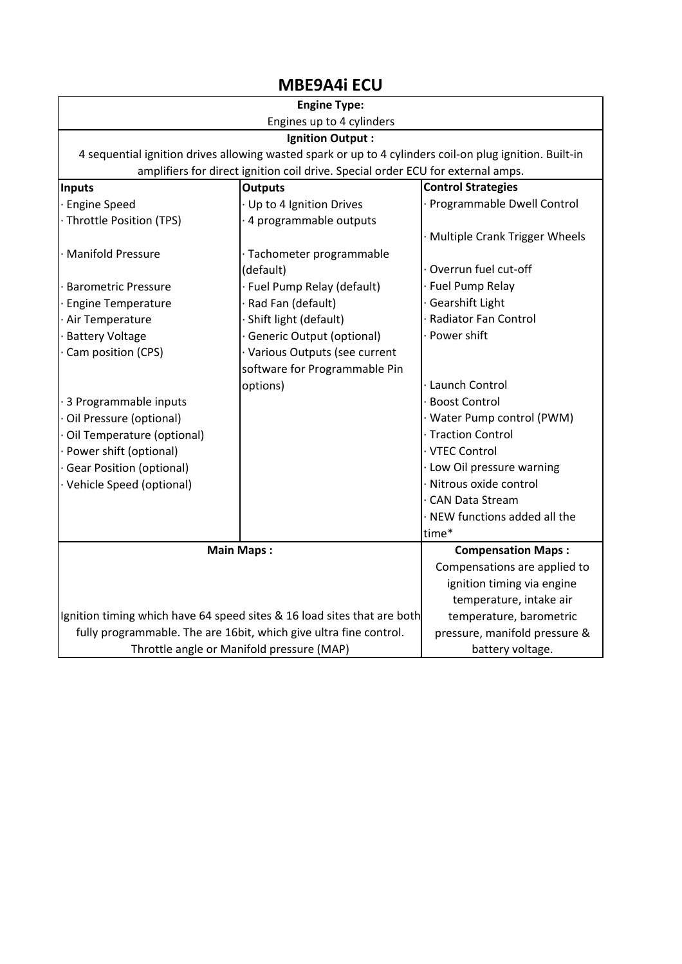## MBE9A4i ECU

| <b>Engine Type:</b>                                                                                     |                                  |                                 |  |
|---------------------------------------------------------------------------------------------------------|----------------------------------|---------------------------------|--|
| Engines up to 4 cylinders                                                                               |                                  |                                 |  |
| <b>Ignition Output:</b>                                                                                 |                                  |                                 |  |
| 4 sequential ignition drives allowing wasted spark or up to 4 cylinders coil-on plug ignition. Built-in |                                  |                                 |  |
| amplifiers for direct ignition coil drive. Special order ECU for external amps.                         |                                  |                                 |  |
| Inputs                                                                                                  | <b>Outputs</b>                   | <b>Control Strategies</b>       |  |
| <b>Engine Speed</b>                                                                                     | Up to 4 Ignition Drives          | Programmable Dwell Control      |  |
| Throttle Position (TPS)                                                                                 | 4 programmable outputs           |                                 |  |
|                                                                                                         |                                  | · Multiple Crank Trigger Wheels |  |
| <b>Manifold Pressure</b>                                                                                | · Tachometer programmable        |                                 |  |
|                                                                                                         | (default)                        | Overrun fuel cut-off            |  |
| <b>Barometric Pressure</b>                                                                              | · Fuel Pump Relay (default)      | · Fuel Pump Relay               |  |
| <b>Engine Temperature</b>                                                                               | Rad Fan (default)                | Gearshift Light                 |  |
| Air Temperature                                                                                         | Shift light (default)            | <b>Radiator Fan Control</b>     |  |
| <b>Battery Voltage</b>                                                                                  | <b>Generic Output (optional)</b> | Power shift                     |  |
| Cam position (CPS)                                                                                      | · Various Outputs (see current   |                                 |  |
|                                                                                                         | software for Programmable Pin    |                                 |  |
|                                                                                                         | options)                         | · Launch Control                |  |
| 3 Programmable inputs                                                                                   |                                  | <b>Boost Control</b>            |  |
| Oil Pressure (optional)                                                                                 |                                  | · Water Pump control (PWM)      |  |
| Oil Temperature (optional)                                                                              |                                  | · Traction Control              |  |
| · Power shift (optional)                                                                                |                                  | · VTEC Control                  |  |
| <b>Gear Position (optional)</b>                                                                         |                                  | · Low Oil pressure warning      |  |
| Vehicle Speed (optional)                                                                                |                                  | Nitrous oxide control           |  |
|                                                                                                         |                                  | <b>CAN Data Stream</b>          |  |
|                                                                                                         |                                  | NEW functions added all the     |  |
|                                                                                                         |                                  | time*                           |  |
|                                                                                                         | <b>Main Maps:</b>                | <b>Compensation Maps:</b>       |  |
|                                                                                                         |                                  | Compensations are applied to    |  |
|                                                                                                         |                                  | ignition timing via engine      |  |
|                                                                                                         |                                  | temperature, intake air         |  |
| Ignition timing which have 64 speed sites & 16 load sites that are both                                 |                                  | temperature, barometric         |  |
| fully programmable. The are 16bit, which give ultra fine control.                                       |                                  | pressure, manifold pressure &   |  |
| Throttle angle or Manifold pressure (MAP)                                                               |                                  | battery voltage.                |  |